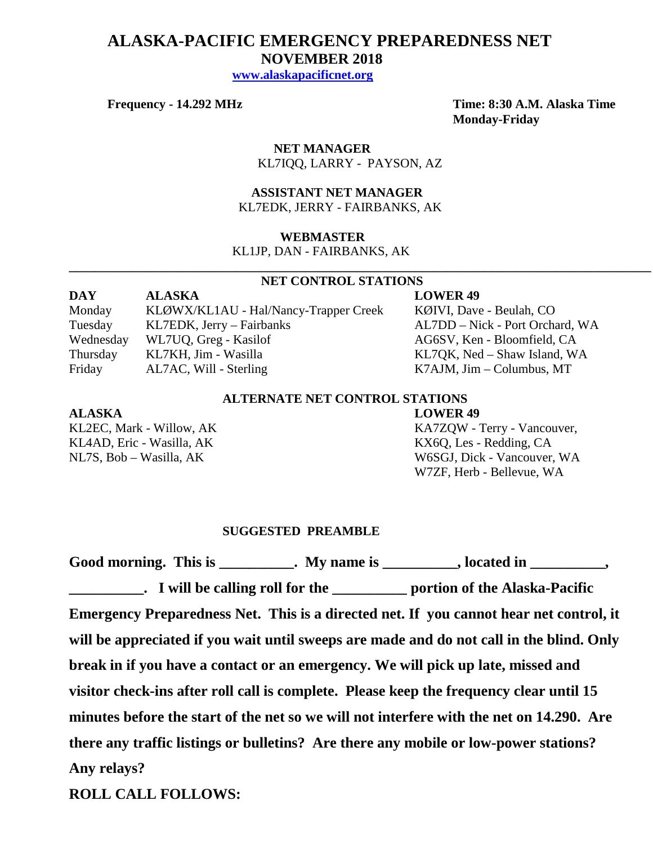# **ALASKA-PACIFIC EMERGENCY PREPAREDNESS NET NOVEMBER 2018**

 **[www.alaskapacificnet.org](http://www.alaskapacificnet.org/)**

**Frequency - 14.292 MHz Time: 8:30 A.M. Alaska Time Monday-Friday**

> **NET MANAGER** KL7IQQ, LARRY - PAYSON, AZ

### **ASSISTANT NET MANAGER**  KL7EDK, JERRY - FAIRBANKS, AK

### **WEBMASTER**

KL1JP, DAN - FAIRBANKS, AK

### **NET CONTROL STATIONS**

**\_\_\_\_\_\_\_\_\_\_\_\_\_\_\_\_\_\_\_\_\_\_\_\_\_\_\_\_\_\_\_\_\_\_\_\_\_\_\_\_\_\_\_\_\_\_\_\_\_\_\_\_\_\_\_\_\_\_\_\_\_\_\_\_\_\_\_\_\_\_\_\_\_\_\_\_\_\_\_\_\_\_\_\_\_\_\_\_\_\_\_**

| <b>DAY</b> | <b>ALASKA</b>                         | <b>LOWER 49</b>                 |
|------------|---------------------------------------|---------------------------------|
| Monday     | KLØWX/KL1AU - Hal/Nancy-Trapper Creek | KØIVI, Dave - Beulah, CO        |
| Tuesday    | KL7EDK, Jerry – Fairbanks             | AL7DD – Nick - Port Orchard, WA |
| Wednesday  | WL7UQ, Greg - Kasilof                 | AG6SV, Ken - Bloomfield, CA     |
| Thursday   | KL7KH, Jim - Wasilla                  | KL7QK, Ned – Shaw Island, WA    |
| Friday     | AL7AC, Will - Sterling                | $K7$ AJM, Jim – Columbus, MT    |

### **ALTERNATE NET CONTROL STATIONS**

### **ALASKA LOWER 49**

KL4AD, Eric - Wasilla, AK KL4AD, Eric - Wasilla, AK

KL2EC, Mark - Willow, AK KA7ZQW - Terry - Vancouver, NL7S, Bob – Wasilla, AK W6SGJ, Dick - Vancouver, WA W7ZF, Herb - Bellevue, WA

### **SUGGESTED PREAMBLE**

Good morning. This is \_\_\_\_\_\_\_\_\_\_. My name is \_\_\_\_\_\_\_\_\_, located in \_\_\_\_\_\_\_\_\_, **\_\_\_\_\_\_\_\_\_\_. I will be calling roll for the \_\_\_\_\_\_\_\_\_\_ portion of the Alaska-Pacific Emergency Preparedness Net. This is a directed net. If you cannot hear net control, it will be appreciated if you wait until sweeps are made and do not call in the blind. Only break in if you have a contact or an emergency. We will pick up late, missed and visitor check-ins after roll call is complete. Please keep the frequency clear until 15 minutes before the start of the net so we will not interfere with the net on 14.290. Are there any traffic listings or bulletins? Are there any mobile or low-power stations? Any relays?** 

**ROLL CALL FOLLOWS:**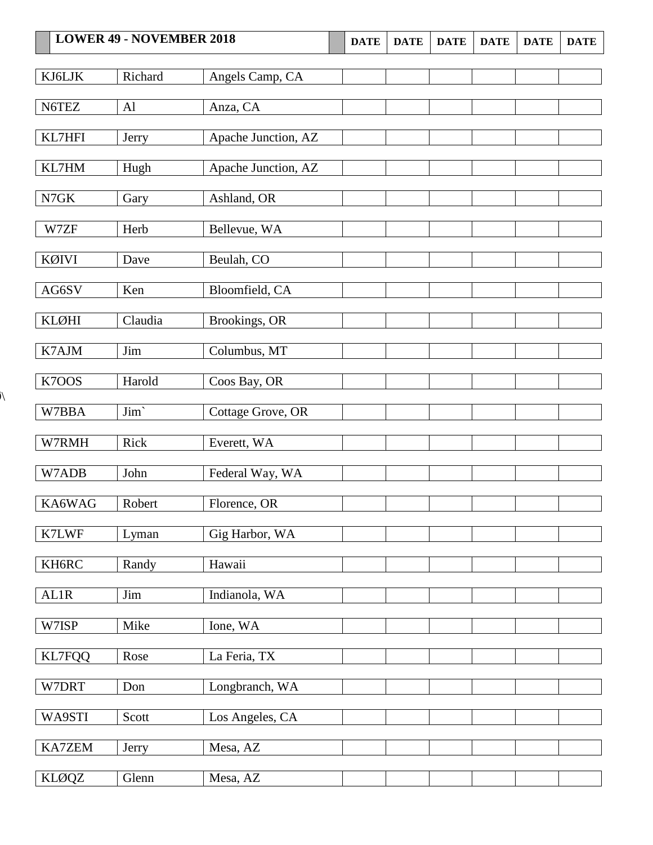|               | <b>LOWER 49 - NOVEMBER 2018</b> |                     | <b>DATE</b> | <b>DATE</b> | <b>DATE</b> | <b>DATE</b> | <b>DATE</b> | <b>DATE</b> |
|---------------|---------------------------------|---------------------|-------------|-------------|-------------|-------------|-------------|-------------|
| KJ6LJK        | Richard                         | Angels Camp, CA     |             |             |             |             |             |             |
|               |                                 |                     |             |             |             |             |             |             |
| N6TEZ         | AI                              | Anza, CA            |             |             |             |             |             |             |
| KL7HFI        | Jerry                           | Apache Junction, AZ |             |             |             |             |             |             |
| KL7HM         | Hugh                            | Apache Junction, AZ |             |             |             |             |             |             |
| ${\rm N7GK}$  | Gary                            | Ashland, OR         |             |             |             |             |             |             |
| W7ZF          | Herb                            | Bellevue, WA        |             |             |             |             |             |             |
| KØIVI         | Dave                            | Beulah, CO          |             |             |             |             |             |             |
| AG6SV         | Ken                             | Bloomfield, CA      |             |             |             |             |             |             |
| <b>KLØHI</b>  | Claudia                         | Brookings, OR       |             |             |             |             |             |             |
| K7AJM         | Jim                             | Columbus, MT        |             |             |             |             |             |             |
| K7OOS         | Harold                          | Coos Bay, OR        |             |             |             |             |             |             |
|               |                                 |                     |             |             |             |             |             |             |
| W7BBA         | Jim'                            | Cottage Grove, OR   |             |             |             |             |             |             |
| W7RMH         | Rick                            | Everett, WA         |             |             |             |             |             |             |
| W7ADB         | John                            | Federal Way, WA     |             |             |             |             |             |             |
| KA6WAG        | Robert                          | Florence, OR        |             |             |             |             |             |             |
| K7LWF         | Lyman                           | Gig Harbor, WA      |             |             |             |             |             |             |
| KH6RC         | Randy                           | Hawaii              |             |             |             |             |             |             |
| AL1R          | Jim                             | Indianola, WA       |             |             |             |             |             |             |
| W7ISP         | Mike                            | Ione, WA            |             |             |             |             |             |             |
| <b>KL7FQQ</b> | Rose                            | La Feria, TX        |             |             |             |             |             |             |
| W7DRT         | Don                             | Longbranch, WA      |             |             |             |             |             |             |
| WA9STI        | Scott                           | Los Angeles, CA     |             |             |             |             |             |             |
|               |                                 |                     |             |             |             |             |             |             |
| KA7ZEM        | Jerry                           | Mesa, AZ            |             |             |             |             |             |             |
| <b>KLØQZ</b>  | Glenn                           | Mesa, AZ            |             |             |             |             |             |             |

 $\lambda$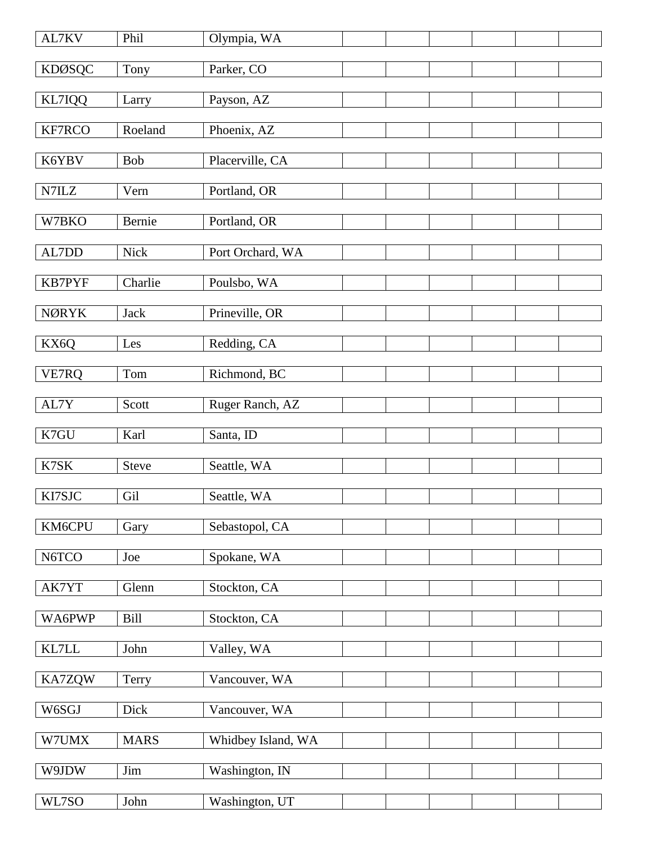| AL7KV         | Phil         | Olympia, WA        |  |  |  |
|---------------|--------------|--------------------|--|--|--|
| <b>KDØSQC</b> | Tony         | Parker, CO         |  |  |  |
| KL7IQQ        | Larry        | Payson, AZ         |  |  |  |
| KF7RCO        | Roeland      | Phoenix, AZ        |  |  |  |
| K6YBV         | Bob          | Placerville, CA    |  |  |  |
|               |              |                    |  |  |  |
| N7ILZ         | Vern         | Portland, OR       |  |  |  |
| W7BKO         | Bernie       | Portland, OR       |  |  |  |
| AL7DD         | Nick         | Port Orchard, WA   |  |  |  |
| KB7PYF        | Charlie      | Poulsbo, WA        |  |  |  |
| <b>NØRYK</b>  | <b>Jack</b>  | Prineville, OR     |  |  |  |
| KX6Q          | Les          | Redding, CA        |  |  |  |
|               |              |                    |  |  |  |
| VE7RQ         | Tom          | Richmond, BC       |  |  |  |
| AL7Y          | Scott        | Ruger Ranch, AZ    |  |  |  |
| K7GU          | Karl         | Santa, ID          |  |  |  |
| K7SK          | <b>Steve</b> | Seattle, WA        |  |  |  |
| KI7SJC        | Gil          | Seattle, WA        |  |  |  |
| KM6CPU        | Gary         | Sebastopol, CA     |  |  |  |
|               |              |                    |  |  |  |
| N6TCO         | Joe          | Spokane, WA        |  |  |  |
| AK7YT         | Glenn        | Stockton, CA       |  |  |  |
| WA6PWP        | Bill         | Stockton, CA       |  |  |  |
| KL7LL         | John         | Valley, WA         |  |  |  |
| KA7ZQW        | Terry        | Vancouver, WA      |  |  |  |
| W6SGJ         | Dick         | Vancouver, WA      |  |  |  |
| W7UMX         | <b>MARS</b>  | Whidbey Island, WA |  |  |  |
|               |              |                    |  |  |  |
| W9JDW         | Jim          | Washington, IN     |  |  |  |
| WL7SO         | John         | Washington, UT     |  |  |  |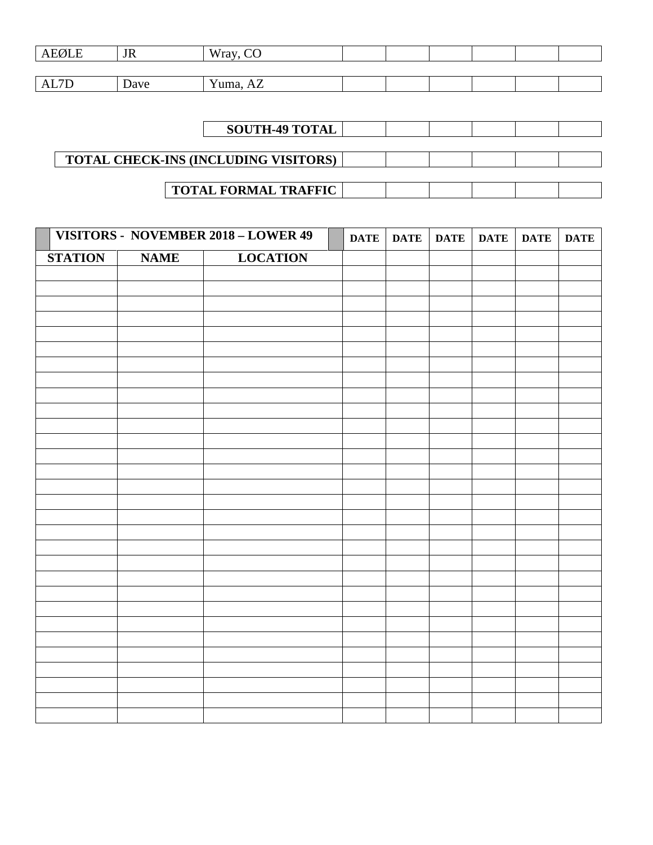| <b>AEØLE</b>      | <b>JR</b> | $\cap$<br>Wray,                         |  |  |  |
|-------------------|-----------|-----------------------------------------|--|--|--|
|                   |           |                                         |  |  |  |
| $7\Gamma$<br>AL/D | Dave      | $\mathbf{v}$<br>$Y$ uma, $\ldots$<br>AL |  |  |  |

| <b>SOUTH-49 TOTAL</b>                       |  |  |  |
|---------------------------------------------|--|--|--|
|                                             |  |  |  |
| <b>TOTAL CHECK-INS (INCLUDING VISITORS)</b> |  |  |  |
|                                             |  |  |  |
| <b>TOTAL FORMAL TRAFFIC</b>                 |  |  |  |

|                | VISITORS - NOVEMBER 2018 - LOWER 49 |                 | <b>DATE</b> | DATE | <b>DATE</b> | <b>DATE</b> | <b>DATE</b> | <b>DATE</b> |
|----------------|-------------------------------------|-----------------|-------------|------|-------------|-------------|-------------|-------------|
| <b>STATION</b> | <b>NAME</b>                         | <b>LOCATION</b> |             |      |             |             |             |             |
|                |                                     |                 |             |      |             |             |             |             |
|                |                                     |                 |             |      |             |             |             |             |
|                |                                     |                 |             |      |             |             |             |             |
|                |                                     |                 |             |      |             |             |             |             |
|                |                                     |                 |             |      |             |             |             |             |
|                |                                     |                 |             |      |             |             |             |             |
|                |                                     |                 |             |      |             |             |             |             |
|                |                                     |                 |             |      |             |             |             |             |
|                |                                     |                 |             |      |             |             |             |             |
|                |                                     |                 |             |      |             |             |             |             |
|                |                                     |                 |             |      |             |             |             |             |
|                |                                     |                 |             |      |             |             |             |             |
|                |                                     |                 |             |      |             |             |             |             |
|                |                                     |                 |             |      |             |             |             |             |
|                |                                     |                 |             |      |             |             |             |             |
|                |                                     |                 |             |      |             |             |             |             |
|                |                                     |                 |             |      |             |             |             |             |
|                |                                     |                 |             |      |             |             |             |             |
|                |                                     |                 |             |      |             |             |             |             |
|                |                                     |                 |             |      |             |             |             |             |
|                |                                     |                 |             |      |             |             |             |             |
|                |                                     |                 |             |      |             |             |             |             |
|                |                                     |                 |             |      |             |             |             |             |
|                |                                     |                 |             |      |             |             |             |             |
|                |                                     |                 |             |      |             |             |             |             |
|                |                                     |                 |             |      |             |             |             |             |
|                |                                     |                 |             |      |             |             |             |             |
|                |                                     |                 |             |      |             |             |             |             |
|                |                                     |                 |             |      |             |             |             |             |
|                |                                     |                 |             |      |             |             |             |             |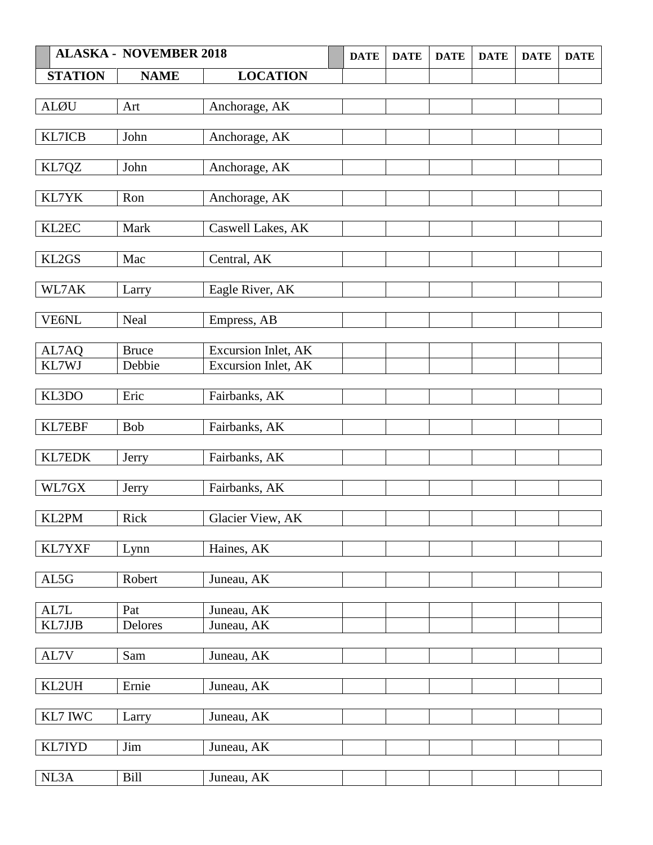|                | <b>ALASKA - NOVEMBER 2018</b> |                     | <b>DATE</b> | <b>DATE</b> | <b>DATE</b> | <b>DATE</b> | <b>DATE</b> | <b>DATE</b> |
|----------------|-------------------------------|---------------------|-------------|-------------|-------------|-------------|-------------|-------------|
| <b>STATION</b> | <b>NAME</b>                   | <b>LOCATION</b>     |             |             |             |             |             |             |
|                |                               |                     |             |             |             |             |             |             |
| <b>ALØU</b>    | Art                           | Anchorage, AK       |             |             |             |             |             |             |
|                |                               |                     |             |             |             |             |             |             |
| KL7ICB         | John                          | Anchorage, AK       |             |             |             |             |             |             |
|                | John                          | Anchorage, AK       |             |             |             |             |             |             |
| KL7QZ          |                               |                     |             |             |             |             |             |             |
| KL7YK          | Ron                           | Anchorage, AK       |             |             |             |             |             |             |
|                |                               |                     |             |             |             |             |             |             |
| KL2EC          | Mark                          | Caswell Lakes, AK   |             |             |             |             |             |             |
|                |                               |                     |             |             |             |             |             |             |
| KL2GS          | Mac                           | Central, AK         |             |             |             |             |             |             |
|                |                               |                     |             |             |             |             |             |             |
| WL7AK          | Larry                         | Eagle River, AK     |             |             |             |             |             |             |
| VE6NL          | Neal                          | Empress, AB         |             |             |             |             |             |             |
|                |                               |                     |             |             |             |             |             |             |
| AL7AQ          | <b>Bruce</b>                  | Excursion Inlet, AK |             |             |             |             |             |             |
| KL7WJ          | Debbie                        | Excursion Inlet, AK |             |             |             |             |             |             |
|                |                               |                     |             |             |             |             |             |             |
| KL3DO          | Eric                          | Fairbanks, AK       |             |             |             |             |             |             |
|                |                               |                     |             |             |             |             |             |             |
| KL7EBF         | <b>Bob</b>                    | Fairbanks, AK       |             |             |             |             |             |             |
| KL7EDK         | Jerry                         | Fairbanks, AK       |             |             |             |             |             |             |
|                |                               |                     |             |             |             |             |             |             |
| $\rm W L7GX$   | Jerry                         | Fairbanks, AK       |             |             |             |             |             |             |
|                |                               |                     |             |             |             |             |             |             |
| KL2PM          | Rick                          | Glacier View, AK    |             |             |             |             |             |             |
|                |                               |                     |             |             |             |             |             |             |
| KL7YXF         | Lynn                          | Haines, AK          |             |             |             |             |             |             |
|                |                               |                     |             |             |             |             |             |             |
| AL5G           | Robert                        | Juneau, AK          |             |             |             |             |             |             |
| AL7L           | Pat                           | Juneau, AK          |             |             |             |             |             |             |
| KL7JJB         | Delores                       | Juneau, AK          |             |             |             |             |             |             |
|                |                               |                     |             |             |             |             |             |             |
| AL7V           | Sam                           | Juneau, AK          |             |             |             |             |             |             |
|                |                               |                     |             |             |             |             |             |             |
| KL2UH          | Ernie                         | Juneau, AK          |             |             |             |             |             |             |
|                |                               |                     |             |             |             |             |             |             |
| KL7 IWC        | Larry                         | Juneau, AK          |             |             |             |             |             |             |
| KL7IYD         | Jim                           | Juneau, AK          |             |             |             |             |             |             |
|                |                               |                     |             |             |             |             |             |             |
| NL3A           | Bill                          | Juneau, AK          |             |             |             |             |             |             |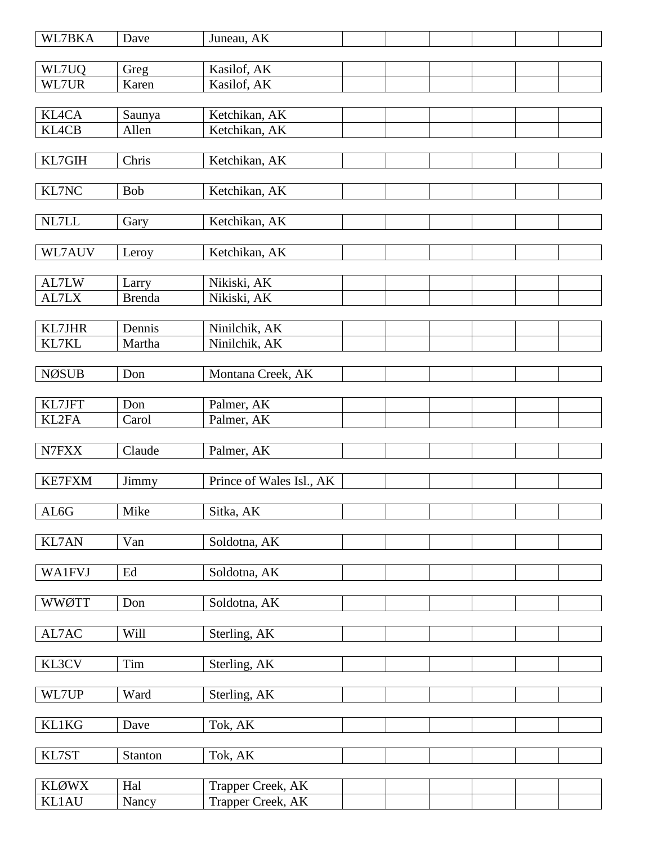| WL7BKA        | Dave          | Juneau, AK               |  |  |  |
|---------------|---------------|--------------------------|--|--|--|
| WL7UQ         |               | Kasilof, AK              |  |  |  |
| WL7UR         | Greg<br>Karen | Kasilof, AK              |  |  |  |
|               |               |                          |  |  |  |
| <b>KL4CA</b>  | Saunya        | Ketchikan, AK            |  |  |  |
| <b>KL4CB</b>  | Allen         | Ketchikan, AK            |  |  |  |
|               |               |                          |  |  |  |
| KL7GIH        | Chris         | Ketchikan, AK            |  |  |  |
|               |               |                          |  |  |  |
| KL7NC         | Bob           | Ketchikan, AK            |  |  |  |
|               |               |                          |  |  |  |
| NL7LL         | Gary          | Ketchikan, AK            |  |  |  |
|               |               |                          |  |  |  |
| WL7AUV        | Leroy         | Ketchikan, AK            |  |  |  |
| AL7LW         | Larry         | Nikiski, AK              |  |  |  |
| AL7LX         | <b>Brenda</b> | Nikiski, AK              |  |  |  |
|               |               |                          |  |  |  |
| KL7JHR        | Dennis        | Ninilchik, AK            |  |  |  |
| KL7KL         | Martha        | Ninilchik, AK            |  |  |  |
|               |               |                          |  |  |  |
| <b>NØSUB</b>  | Don           | Montana Creek, AK        |  |  |  |
|               |               |                          |  |  |  |
| KL7JFT        | Don           | Palmer, AK               |  |  |  |
| KL2FA         | Carol         | Palmer, AK               |  |  |  |
|               |               |                          |  |  |  |
| N7FXX         | Claude        | Palmer, AK               |  |  |  |
| <b>KE7FXM</b> | Jimmy         | Prince of Wales Isl., AK |  |  |  |
|               |               |                          |  |  |  |
| AL6G          | Mike          | Sitka, AK                |  |  |  |
|               |               |                          |  |  |  |
| KL7AN         | Van           | Soldotna, AK             |  |  |  |
|               |               |                          |  |  |  |
| <b>WA1FVJ</b> | Ed            | Soldotna, AK             |  |  |  |
|               |               |                          |  |  |  |
| <b>WWØTT</b>  | Don           | Soldotna, AK             |  |  |  |
|               |               |                          |  |  |  |
| AL7AC         | Will          | Sterling, AK             |  |  |  |
| KL3CV         | Tim           | Sterling, AK             |  |  |  |
|               |               |                          |  |  |  |
| WL7UP         | Ward          | Sterling, AK             |  |  |  |
|               |               |                          |  |  |  |
| <b>KL1KG</b>  | Dave          | Tok, AK                  |  |  |  |
|               |               |                          |  |  |  |
| KL7ST         | Stanton       | Tok, AK                  |  |  |  |
|               |               |                          |  |  |  |
| <b>KLØWX</b>  | Hal           | Trapper Creek, AK        |  |  |  |
| <b>KL1AU</b>  | Nancy         | Trapper Creek, AK        |  |  |  |